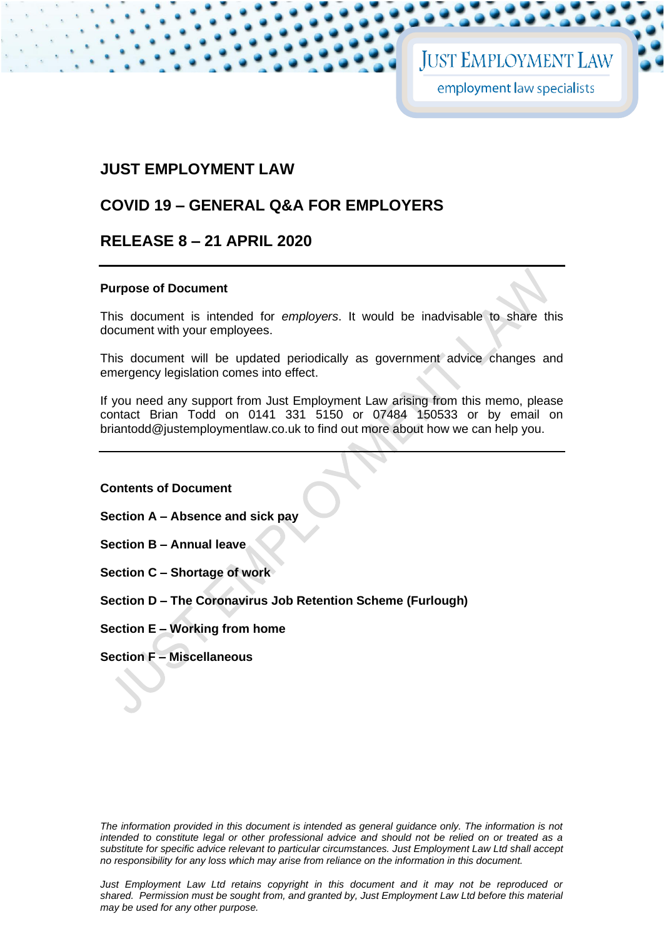## **JUST EMPLOYMENT LAW**

## **COVID 19 – GENERAL Q&A FOR EMPLOYERS**

## **RELEASE 8 – 21 APRIL 2020**

#### **Purpose of Document**

This document is intended for *employers*. It would be inadvisable to share this document with your employees.

This document will be updated periodically as government advice changes and emergency legislation comes into effect.

If you need any support from Just Employment Law arising from this memo, please contact Brian Todd on 0141 331 5150 or 07484 150533 or by email on briantodd@justemploymentlaw.co.uk to find out more about how we can help you.

**Contents of Document**

**Section A – Absence and sick pay** 

**Section B – Annual leave** 

**Section C – Shortage of work** 

**Section D – The Coronavirus Job Retention Scheme (Furlough)** 

**Section E – Working from home**

**Section F – Miscellaneous** 

The information provided in this document is intended as general guidance only. The information is not *intended to constitute legal or other professional advice and should not be relied on or treated as a substitute for specific advice relevant to particular circumstances. Just Employment Law Ltd shall accept no responsibility for any loss which may arise from reliance on the information in this document.*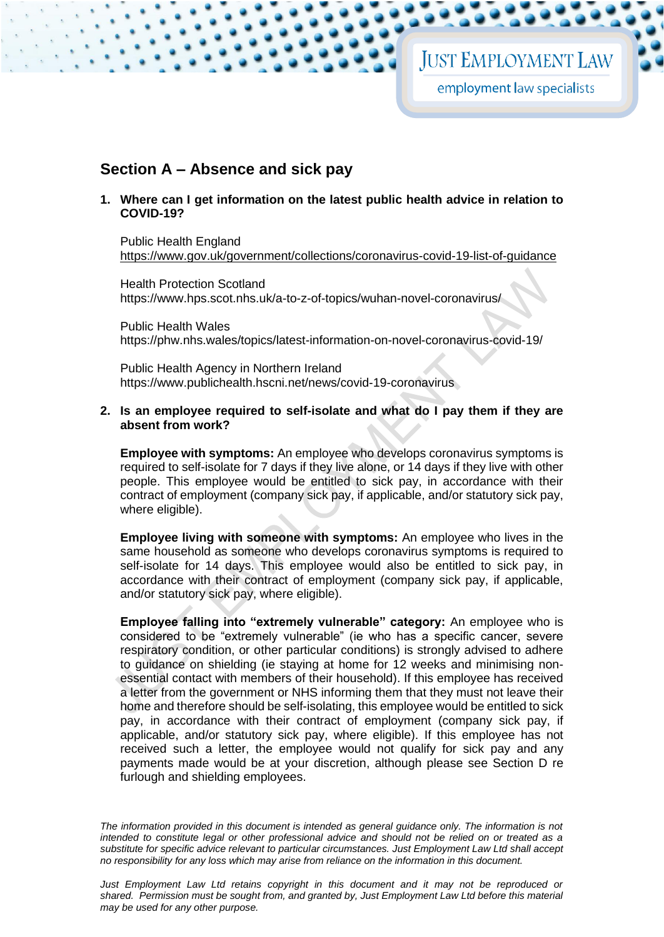## **Section A – Absence and sick pay**

**1. Where can I get information on the latest public health advice in relation to COVID-19?**

Public Health England <https://www.gov.uk/government/collections/coronavirus-covid-19-list-of-guidance>

Health Protection Scotland <https://www.hps.scot.nhs.uk/a-to-z-of-topics/wuhan-novel-coronavirus/>

Public Health Wales <https://phw.nhs.wales/topics/latest-information-on-novel-coronavirus-covid-19/>

Public Health Agency in Northern Ireland <https://www.publichealth.hscni.net/news/covid-19-coronavirus>

#### <span id="page-1-0"></span>**2. Is an employee required to self-isolate and what do I pay them if they are absent from work?**

**Employee with symptoms:** An employee who develops coronavirus symptoms is required to self-isolate for 7 days if they live alone, or 14 days if they live with other people. This employee would be entitled to sick pay, in accordance with their contract of employment (company sick pay, if applicable, and/or statutory sick pay, where eligible).

**Employee living with someone with symptoms:** An employee who lives in the same household as someone who develops coronavirus symptoms is required to self-isolate for 14 days. This employee would also be entitled to sick pay, in accordance with their contract of employment (company sick pay, if applicable, and/or statutory sick pay, where eligible).

**Employee falling into "extremely vulnerable" category:** An employee who is considered to be "extremely vulnerable" (ie who has a specific cancer, severe respiratory condition, or other particular conditions) is strongly advised to adhere to guidance on shielding (ie staying at home for 12 weeks and minimising nonessential contact with members of their household). If this employee has received a letter from the government or NHS informing them that they must not leave their home and therefore should be self-isolating, this employee would be entitled to sick pay, in accordance with their contract of employment (company sick pay, if applicable, and/or statutory sick pay, where eligible). If this employee has not received such a letter, the employee would not qualify for sick pay and any payments made would be at your discretion, although please see Section D re furlough and shielding employees.

*The information provided in this document is intended as general guidance only. The information is not intended to constitute legal or other professional advice and should not be relied on or treated as a substitute for specific advice relevant to particular circumstances. Just Employment Law Ltd shall accept no responsibility for any loss which may arise from reliance on the information in this document.*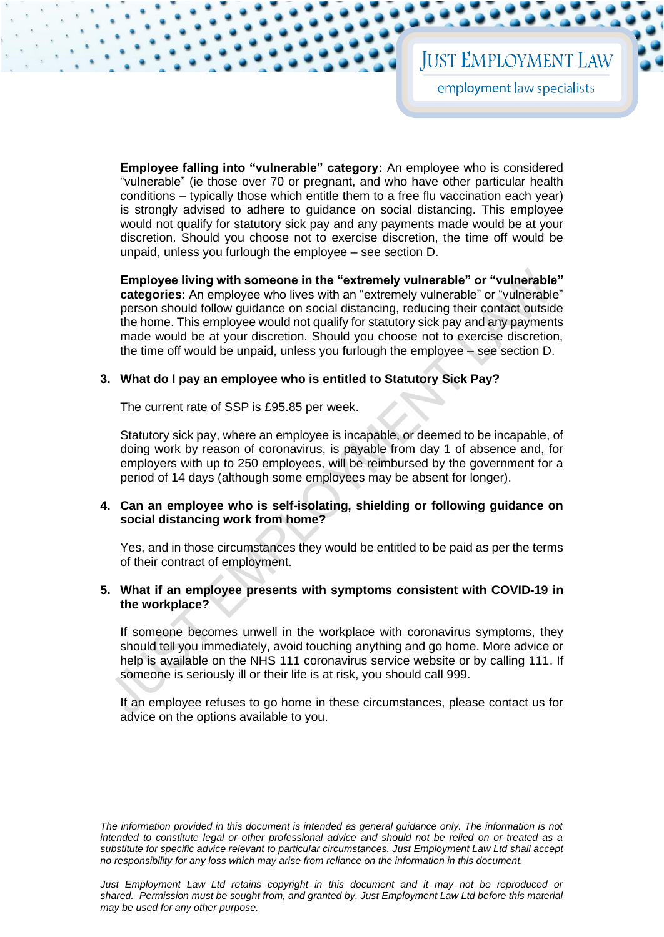## **JUST EMPLOYMENT LAW**

employment law specialists

**Employee falling into "vulnerable" category:** An employee who is considered "vulnerable" (ie those over 70 or pregnant, and who have other particular health conditions – typically those which entitle them to a free flu vaccination each year) is strongly advised to adhere to guidance on social distancing. This employee would not qualify for statutory sick pay and any payments made would be at your discretion. Should you choose not to exercise discretion, the time off would be unpaid, unless you furlough the employee – see section D.

**Employee living with someone in the "extremely vulnerable" or "vulnerable" categories:** An employee who lives with an "extremely vulnerable" or "vulnerable" person should follow guidance on social distancing, reducing their contact outside the home. This employee would not qualify for statutory sick pay and any payments made would be at your discretion. Should you choose not to exercise discretion, the time off would be unpaid, unless you furlough the employee – see section D.

#### **3. What do I pay an employee who is entitled to Statutory Sick Pay?**

The current rate of SSP is £95.85 per week.

Statutory sick pay, where an employee is incapable, or deemed to be incapable, of doing work by reason of coronavirus, is payable from day 1 of absence and, for employers with up to 250 employees, will be reimbursed by the government for a period of 14 days (although some employees may be absent for longer).

#### **4. Can an employee who is self-isolating, shielding or following guidance on social distancing work from home?**

Yes, and in those circumstances they would be entitled to be paid as per the terms of their contract of employment.

#### **5. What if an employee presents with symptoms consistent with COVID-19 in the workplace?**

If someone becomes unwell in the workplace with coronavirus symptoms, they should tell you immediately, avoid touching anything and go home. More advice or help is available on the NHS 111 coronavirus service website or by calling 111. If someone is seriously ill or their life is at risk, you should call 999.

If an employee refuses to go home in these circumstances, please contact us for advice on the options available to you.

*The information provided in this document is intended as general guidance only. The information is not intended to constitute legal or other professional advice and should not be relied on or treated as a substitute for specific advice relevant to particular circumstances. Just Employment Law Ltd shall accept no responsibility for any loss which may arise from reliance on the information in this document.*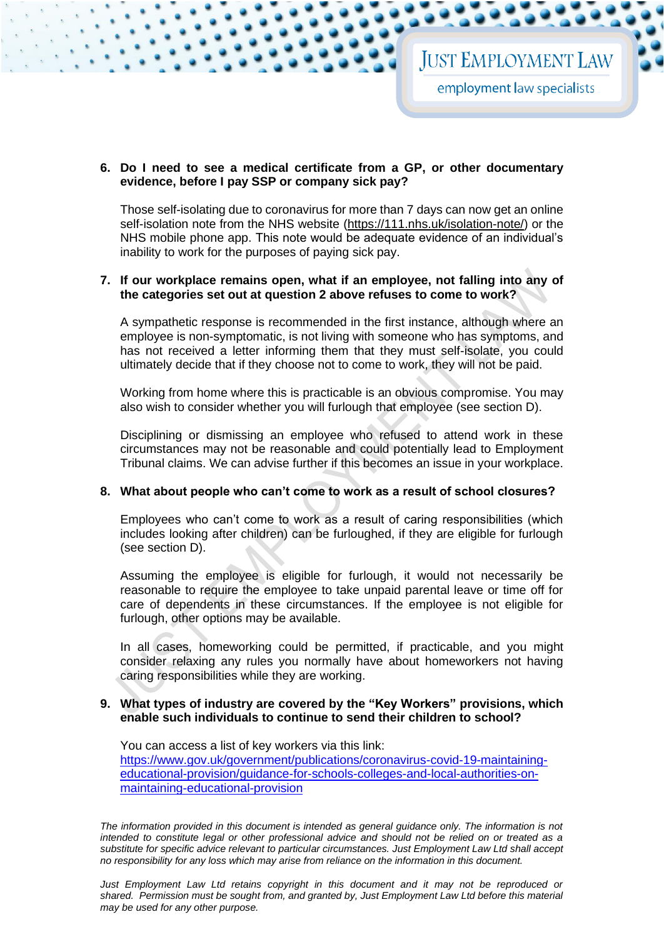**6. Do I need to see a medical certificate from a GP, or other documentary evidence, before I pay SSP or company sick pay?**

Those self-isolating due to coronavirus for more than 7 days can now get an online self-isolation note from the NHS website [\(https://111.nhs.uk/isolation-note/\)](https://111.nhs.uk/isolation-note/) or the NHS mobile phone app. This note would be adequate evidence of an individual's inability to work for the purposes of paying sick pay.

#### **7. If our workplace remains open, what if an employee, not falling into any of the categories set out at question [2](#page-1-0) above refuses to come to work?**

A sympathetic response is recommended in the first instance, although where an employee is non-symptomatic, is not living with someone who has symptoms, and has not received a letter informing them that they must self-isolate, you could ultimately decide that if they choose not to come to work, they will not be paid.

Working from home where this is practicable is an obvious compromise. You may also wish to consider whether you will furlough that employee (see section D).

Disciplining or dismissing an employee who refused to attend work in these circumstances may not be reasonable and could potentially lead to Employment Tribunal claims. We can advise further if this becomes an issue in your workplace.

#### **8. What about people who can't come to work as a result of school closures?**

Employees who can't come to work as a result of caring responsibilities (which includes looking after children) can be furloughed, if they are eligible for furlough (see section D).

Assuming the employee is eligible for furlough, it would not necessarily be reasonable to require the employee to take unpaid parental leave or time off for care of dependents in these circumstances. If the employee is not eligible for furlough, other options may be available.

In all cases, homeworking could be permitted, if practicable, and you might consider relaxing any rules you normally have about homeworkers not having caring responsibilities while they are working.

#### **9. What types of industry are covered by the "Key Workers" provisions, which enable such individuals to continue to send their children to school?**

You can access a list of key workers via this link: [https://www.gov.uk/government/publications/coronavirus-covid-19-maintaining](https://www.gov.uk/government/publications/coronavirus-covid-19-maintaining-educational-provision/guidance-for-schools-colleges-and-local-authorities-on-maintaining-educational-provision)[educational-provision/guidance-for-schools-colleges-and-local-authorities-on](https://www.gov.uk/government/publications/coronavirus-covid-19-maintaining-educational-provision/guidance-for-schools-colleges-and-local-authorities-on-maintaining-educational-provision)[maintaining-educational-provision](https://www.gov.uk/government/publications/coronavirus-covid-19-maintaining-educational-provision/guidance-for-schools-colleges-and-local-authorities-on-maintaining-educational-provision)

The information provided in this document is intended as general guidance only. The information is not *intended to constitute legal or other professional advice and should not be relied on or treated as a substitute for specific advice relevant to particular circumstances. Just Employment Law Ltd shall accept no responsibility for any loss which may arise from reliance on the information in this document.*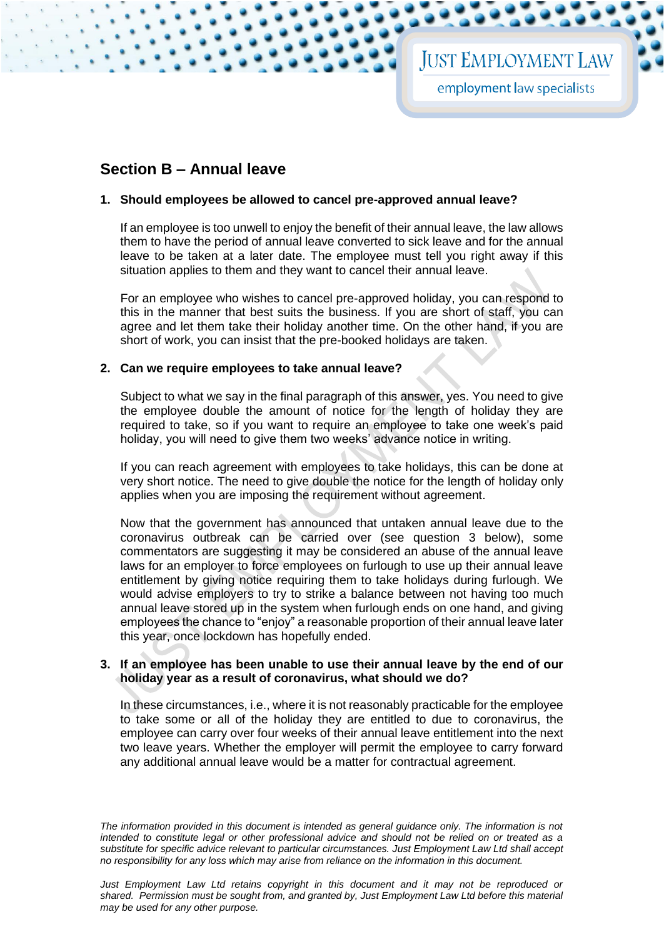## **Section B – Annual leave**

#### **1. Should employees be allowed to cancel pre-approved annual leave?**

If an employee is too unwell to enjoy the benefit of their annual leave, the law allows them to have the period of annual leave converted to sick leave and for the annual leave to be taken at a later date. The employee must tell you right away if this situation applies to them and they want to cancel their annual leave.

For an employee who wishes to cancel pre-approved holiday, you can respond to this in the manner that best suits the business. If you are short of staff, you can agree and let them take their holiday another time. On the other hand, if you are short of work, you can insist that the pre-booked holidays are taken.

#### **2. Can we require employees to take annual leave?**

Subject to what we say in the final paragraph of this answer, yes. You need to give the employee double the amount of notice for the length of holiday they are required to take, so if you want to require an employee to take one week's paid holiday, you will need to give them two weeks' advance notice in writing.

If you can reach agreement with employees to take holidays, this can be done at very short notice. The need to give double the notice for the length of holiday only applies when you are imposing the requirement without agreement.

Now that the government has announced that untaken annual leave due to the coronavirus outbreak can be carried over (see question 3 below), some commentators are suggesting it may be considered an abuse of the annual leave laws for an employer to force employees on furlough to use up their annual leave entitlement by giving notice requiring them to take holidays during furlough. We would advise employers to try to strike a balance between not having too much annual leave stored up in the system when furlough ends on one hand, and giving employees the chance to "enjoy" a reasonable proportion of their annual leave later this year, once lockdown has hopefully ended.

#### **3. If an employee has been unable to use their annual leave by the end of our holiday year as a result of coronavirus, what should we do?**

In these circumstances, i.e., where it is not reasonably practicable for the employee to take some or all of the holiday they are entitled to due to coronavirus, the employee can carry over four weeks of their annual leave entitlement into the next two leave years. Whether the employer will permit the employee to carry forward any additional annual leave would be a matter for contractual agreement.

*The information provided in this document is intended as general guidance only. The information is not intended to constitute legal or other professional advice and should not be relied on or treated as a substitute for specific advice relevant to particular circumstances. Just Employment Law Ltd shall accept no responsibility for any loss which may arise from reliance on the information in this document.*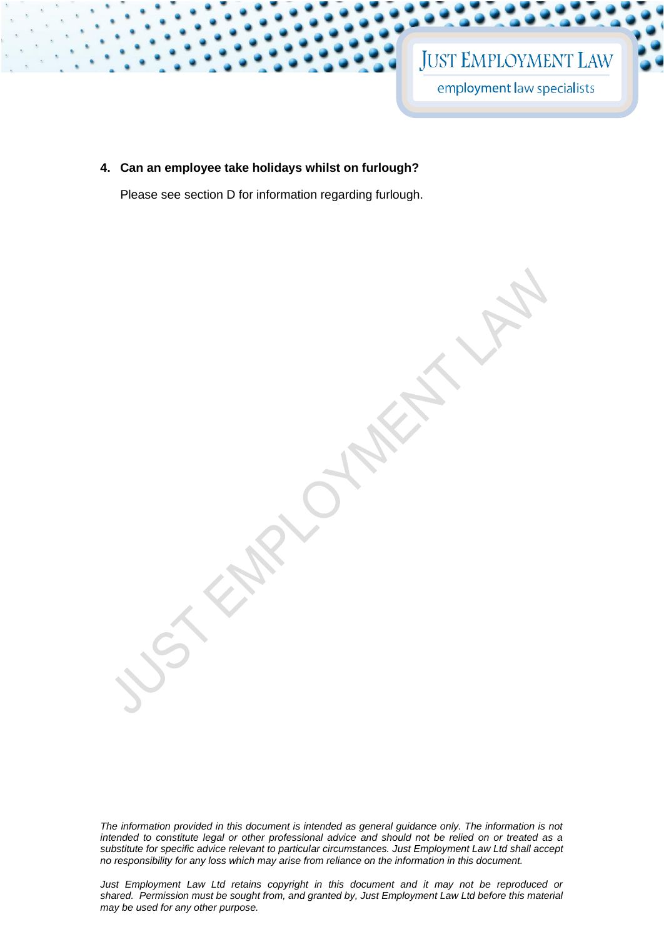## **JUST EMPLOYMENT LAW** employment law specialists

**4. Can an employee take holidays whilst on furlough?** 

Please see section D for information regarding furlough.

*The information provided in this document is intended as general guidance only. The information is not intended to constitute legal or other professional advice and should not be relied on or treated as a substitute for specific advice relevant to particular circumstances. Just Employment Law Ltd shall accept no responsibility for any loss which may arise from reliance on the information in this document.*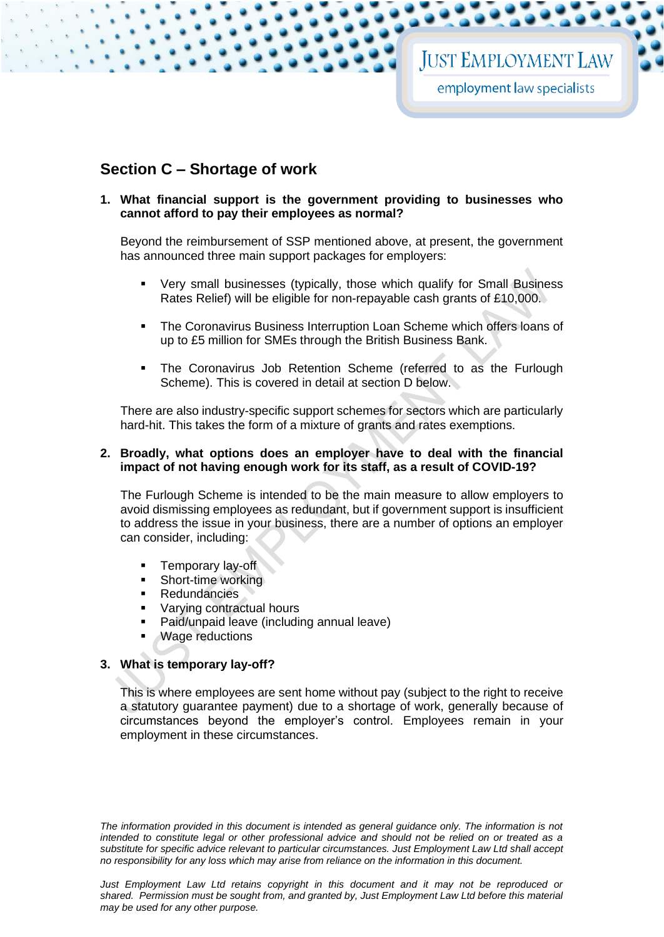## **Section C – Shortage of work**

#### **1. What financial support is the government providing to businesses who cannot afford to pay their employees as normal?**

Beyond the reimbursement of SSP mentioned above, at present, the government has announced three main support packages for employers:

- Very small businesses (typically, those which qualify for Small Business Rates Relief) will be eligible for non-repayable cash grants of £10,000.
- The Coronavirus Business Interruption Loan Scheme which offers loans of up to £5 million for SMEs through the British Business Bank.
- The Coronavirus Job Retention Scheme (referred to as the Furlough Scheme). This is covered in detail at section D below.

There are also industry-specific support schemes for sectors which are particularly hard-hit. This takes the form of a mixture of grants and rates exemptions.

#### **2. Broadly, what options does an employer have to deal with the financial impact of not having enough work for its staff, as a result of COVID-19?**

The Furlough Scheme is intended to be the main measure to allow employers to avoid dismissing employees as redundant, but if government support is insufficient to address the issue in your business, there are a number of options an employer can consider, including:

- Temporary lay-off
- Short-time working
- **Redundancies**
- Varying contractual hours
- Paid/unpaid leave (including annual leave)
- Wage reductions

#### **3. What is temporary lay-off?**

This is where employees are sent home without pay (subject to the right to receive a statutory guarantee payment) due to a shortage of work, generally because of circumstances beyond the employer's control. Employees remain in your employment in these circumstances.

*The information provided in this document is intended as general guidance only. The information is not intended to constitute legal or other professional advice and should not be relied on or treated as a substitute for specific advice relevant to particular circumstances. Just Employment Law Ltd shall accept no responsibility for any loss which may arise from reliance on the information in this document.*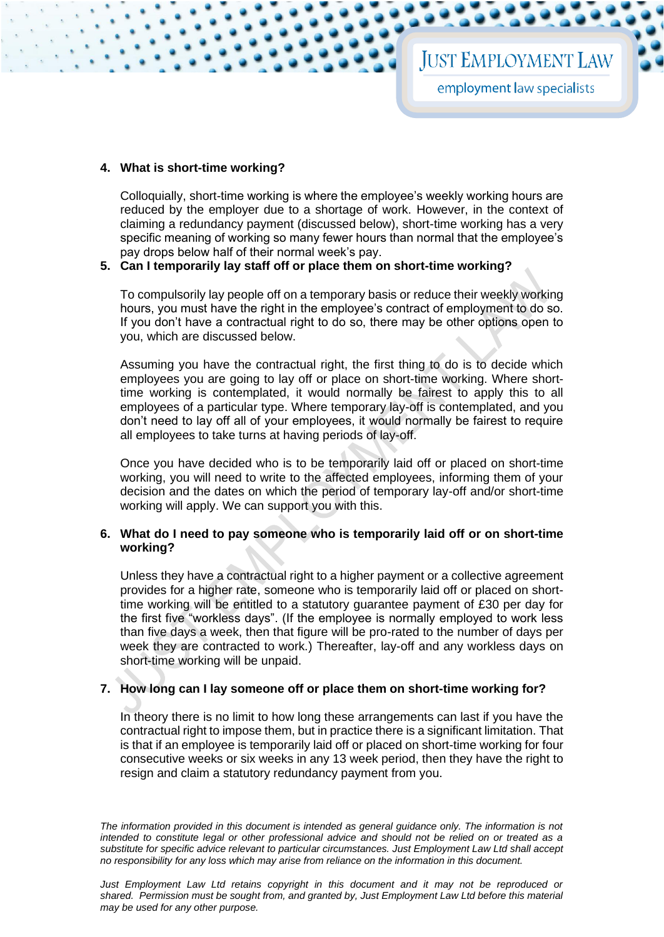#### **4. What is short-time working?**

Colloquially, short-time working is where the employee's weekly working hours are reduced by the employer due to a shortage of work. However, in the context of claiming a redundancy payment (discussed below), short-time working has a very specific meaning of working so many fewer hours than normal that the employee's pay drops below half of their normal week's pay.

#### **5. Can I temporarily lay staff off or place them on short-time working?**

To compulsorily lay people off on a temporary basis or reduce their weekly working hours, you must have the right in the employee's contract of employment to do so. If you don't have a contractual right to do so, there may be other options open to you, which are discussed below.

Assuming you have the contractual right, the first thing to do is to decide which employees you are going to lay off or place on short-time working. Where shorttime working is contemplated, it would normally be fairest to apply this to all employees of a particular type. Where temporary lay-off is contemplated, and you don't need to lay off all of your employees, it would normally be fairest to require all employees to take turns at having periods of lay-off.

Once you have decided who is to be temporarily laid off or placed on short-time working, you will need to write to the affected employees, informing them of your decision and the dates on which the period of temporary lay-off and/or short-time working will apply. We can support you with this.

#### **6. What do I need to pay someone who is temporarily laid off or on short-time working?**

Unless they have a contractual right to a higher payment or a collective agreement provides for a higher rate, someone who is temporarily laid off or placed on shorttime working will be entitled to a statutory guarantee payment of £30 per day for the first five "workless days". (If the employee is normally employed to work less than five days a week, then that figure will be pro-rated to the number of days per week they are contracted to work.) Thereafter, lay-off and any workless days on short-time working will be unpaid.

#### **7. How long can I lay someone off or place them on short-time working for?**

In theory there is no limit to how long these arrangements can last if you have the contractual right to impose them, but in practice there is a significant limitation. That is that if an employee is temporarily laid off or placed on short-time working for four consecutive weeks or six weeks in any 13 week period, then they have the right to resign and claim a statutory redundancy payment from you.

*The information provided in this document is intended as general guidance only. The information is not intended to constitute legal or other professional advice and should not be relied on or treated as a substitute for specific advice relevant to particular circumstances. Just Employment Law Ltd shall accept no responsibility for any loss which may arise from reliance on the information in this document.*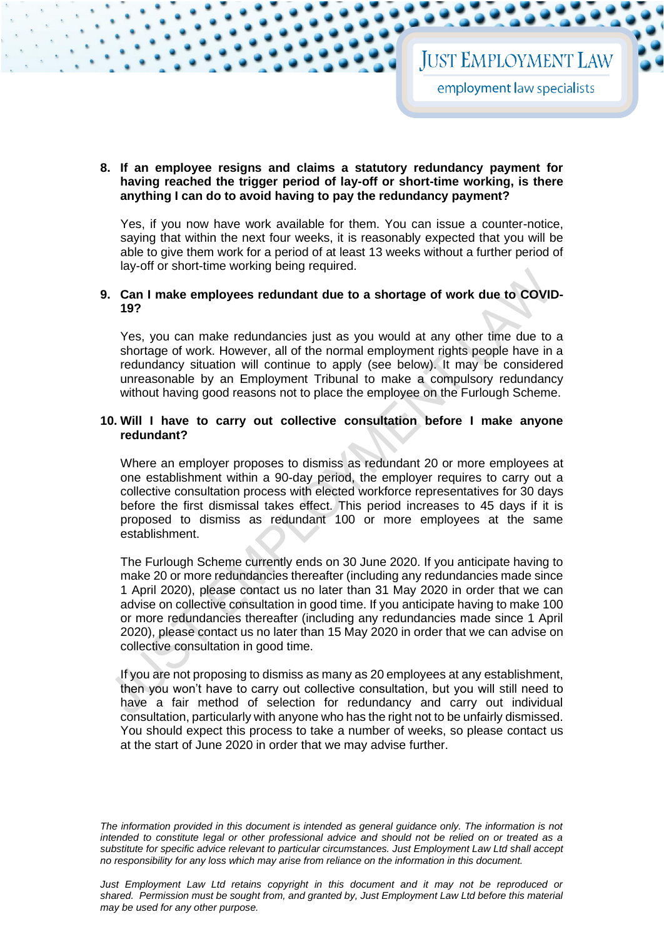#### **8. If an employee resigns and claims a statutory redundancy payment for having reached the trigger period of lay-off or short-time working, is there anything I can do to avoid having to pay the redundancy payment?**

Yes, if you now have work available for them. You can issue a counter-notice, saying that within the next four weeks, it is reasonably expected that you will be able to give them work for a period of at least 13 weeks without a further period of lay-off or short-time working being required.

#### **9. Can I make employees redundant due to a shortage of work due to COVID-19?**

Yes, you can make redundancies just as you would at any other time due to a shortage of work. However, all of the normal employment rights people have in a redundancy situation will continue to apply (see below). It may be considered unreasonable by an Employment Tribunal to make a compulsory redundancy without having good reasons not to place the employee on the Furlough Scheme.

#### **10. Will I have to carry out collective consultation before I make anyone redundant?**

Where an employer proposes to dismiss as redundant 20 or more employees at one establishment within a 90-day period, the employer requires to carry out a collective consultation process with elected workforce representatives for 30 days before the first dismissal takes effect. This period increases to 45 days if it is proposed to dismiss as redundant 100 or more employees at the same establishment.

The Furlough Scheme currently ends on 30 June 2020. If you anticipate having to make 20 or more redundancies thereafter (including any redundancies made since 1 April 2020), please contact us no later than 31 May 2020 in order that we can advise on collective consultation in good time. If you anticipate having to make 100 or more redundancies thereafter (including any redundancies made since 1 April 2020), please contact us no later than 15 May 2020 in order that we can advise on collective consultation in good time.

If you are not proposing to dismiss as many as 20 employees at any establishment, then you won't have to carry out collective consultation, but you will still need to have a fair method of selection for redundancy and carry out individual consultation, particularly with anyone who has the right not to be unfairly dismissed. You should expect this process to take a number of weeks, so please contact us at the start of June 2020 in order that we may advise further.

*The information provided in this document is intended as general guidance only. The information is not intended to constitute legal or other professional advice and should not be relied on or treated as a substitute for specific advice relevant to particular circumstances. Just Employment Law Ltd shall accept no responsibility for any loss which may arise from reliance on the information in this document.*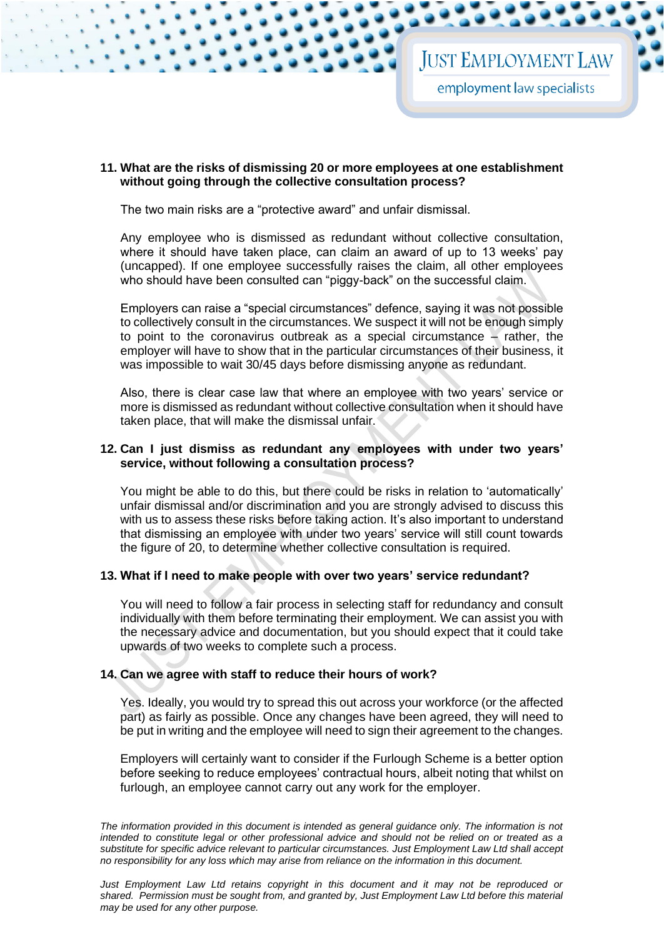#### **11. What are the risks of dismissing 20 or more employees at one establishment without going through the collective consultation process?**

The two main risks are a "protective award" and unfair dismissal.

Any employee who is dismissed as redundant without collective consultation, where it should have taken place, can claim an award of up to 13 weeks' pay (uncapped). If one employee successfully raises the claim, all other employees who should have been consulted can "piggy-back" on the successful claim.

Employers can raise a "special circumstances" defence, saying it was not possible to collectively consult in the circumstances. We suspect it will not be enough simply to point to the coronavirus outbreak as a special circumstance – rather, the employer will have to show that in the particular circumstances of their business, it was impossible to wait 30/45 days before dismissing anyone as redundant.

Also, there is clear case law that where an employee with two years' service or more is dismissed as redundant without collective consultation when it should have taken place, that will make the dismissal unfair.

#### **12. Can I just dismiss as redundant any employees with under two years' service, without following a consultation process?**

You might be able to do this, but there could be risks in relation to 'automatically' unfair dismissal and/or discrimination and you are strongly advised to discuss this with us to assess these risks before taking action. It's also important to understand that dismissing an employee with under two years' service will still count towards the figure of 20, to determine whether collective consultation is required.

#### **13. What if I need to make people with over two years' service redundant?**

You will need to follow a fair process in selecting staff for redundancy and consult individually with them before terminating their employment. We can assist you with the necessary advice and documentation, but you should expect that it could take upwards of two weeks to complete such a process.

#### **14. Can we agree with staff to reduce their hours of work?**

Yes. Ideally, you would try to spread this out across your workforce (or the affected part) as fairly as possible. Once any changes have been agreed, they will need to be put in writing and the employee will need to sign their agreement to the changes.

Employers will certainly want to consider if the Furlough Scheme is a better option before seeking to reduce employees' contractual hours, albeit noting that whilst on furlough, an employee cannot carry out any work for the employer.

*The information provided in this document is intended as general guidance only. The information is not intended to constitute legal or other professional advice and should not be relied on or treated as a substitute for specific advice relevant to particular circumstances. Just Employment Law Ltd shall accept no responsibility for any loss which may arise from reliance on the information in this document.*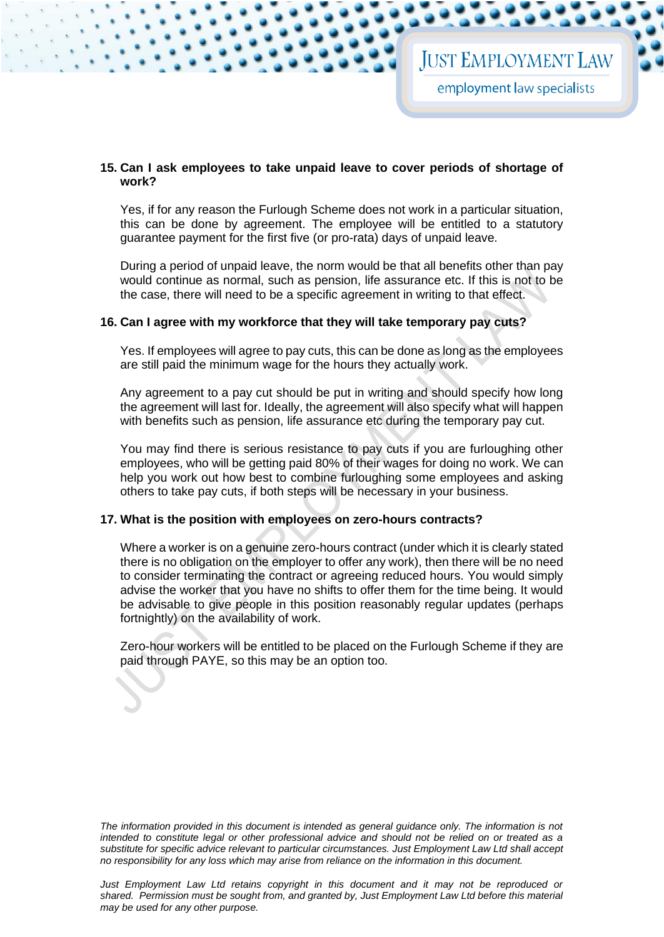#### **15. Can I ask employees to take unpaid leave to cover periods of shortage of work?**

Yes, if for any reason the Furlough Scheme does not work in a particular situation, this can be done by agreement. The employee will be entitled to a statutory guarantee payment for the first five (or pro-rata) days of unpaid leave.

During a period of unpaid leave, the norm would be that all benefits other than pay would continue as normal, such as pension, life assurance etc. If this is not to be the case, there will need to be a specific agreement in writing to that effect.

#### **16. Can I agree with my workforce that they will take temporary pay cuts?**

Yes. If employees will agree to pay cuts, this can be done as long as the employees are still paid the minimum wage for the hours they actually work.

Any agreement to a pay cut should be put in writing and should specify how long the agreement will last for. Ideally, the agreement will also specify what will happen with benefits such as pension, life assurance etc during the temporary pay cut.

You may find there is serious resistance to pay cuts if you are furloughing other employees, who will be getting paid 80% of their wages for doing no work. We can help you work out how best to combine furloughing some employees and asking others to take pay cuts, if both steps will be necessary in your business.

#### **17. What is the position with employees on zero-hours contracts?**

Where a worker is on a genuine zero-hours contract (under which it is clearly stated there is no obligation on the employer to offer any work), then there will be no need to consider terminating the contract or agreeing reduced hours. You would simply advise the worker that you have no shifts to offer them for the time being. It would be advisable to give people in this position reasonably regular updates (perhaps fortnightly) on the availability of work.

Zero-hour workers will be entitled to be placed on the Furlough Scheme if they are paid through PAYE, so this may be an option too.

*The information provided in this document is intended as general guidance only. The information is not intended to constitute legal or other professional advice and should not be relied on or treated as a substitute for specific advice relevant to particular circumstances. Just Employment Law Ltd shall accept no responsibility for any loss which may arise from reliance on the information in this document.*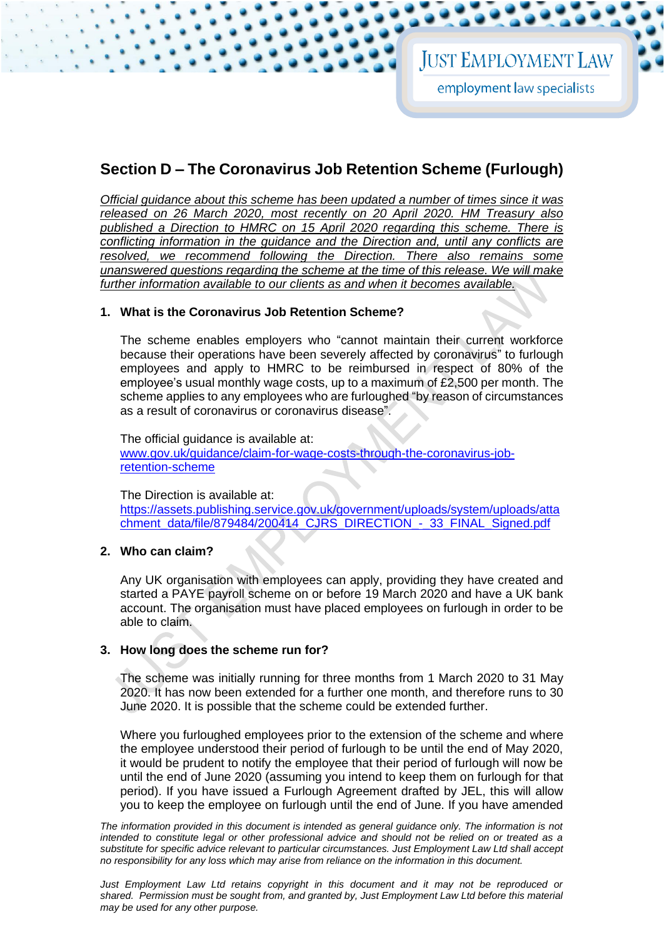## **Section D – The Coronavirus Job Retention Scheme (Furlough)**

*Official guidance about this scheme has been updated a number of times since it was released on 26 March 2020, most recently on 20 April 2020. HM Treasury also published a Direction to HMRC on 15 April 2020 regarding this scheme. There is conflicting information in the guidance and the Direction and, until any conflicts are resolved, we recommend following the Direction. There also remains some unanswered questions regarding the scheme at the time of this release. We will make further information available to our clients as and when it becomes available.* 

#### **1. What is the Coronavirus Job Retention Scheme?**

The scheme enables employers who "cannot maintain their current workforce because their operations have been severely affected by coronavirus" to furlough employees and apply to HMRC to be reimbursed in respect of 80% of the employee's usual monthly wage costs, up to a maximum of £2,500 per month. The scheme applies to any employees who are furloughed "by reason of circumstances as a result of coronavirus or coronavirus disease".

The official guidance is available at: [www.gov.uk/guidance/claim-for-wage-costs-through-the-coronavirus-job](http://www.gov.uk/guidance/claim-for-wage-costs-through-the-coronavirus-job-retention-scheme)[retention-scheme](http://www.gov.uk/guidance/claim-for-wage-costs-through-the-coronavirus-job-retention-scheme)

The Direction is available at:

[https://assets.publishing.service.gov.uk/government/uploads/system/uploads/atta](https://assets.publishing.service.gov.uk/government/uploads/system/uploads/attachment_data/file/879484/200414_CJRS_DIRECTION_-_33_FINAL_Signed.pdf) [chment\\_data/file/879484/200414\\_CJRS\\_DIRECTION\\_-\\_33\\_FINAL\\_Signed.pdf](https://assets.publishing.service.gov.uk/government/uploads/system/uploads/attachment_data/file/879484/200414_CJRS_DIRECTION_-_33_FINAL_Signed.pdf)

#### **2. Who can claim?**

Any UK organisation with employees can apply, providing they have created and started a PAYE payroll scheme on or before 19 March 2020 and have a UK bank account. The organisation must have placed employees on furlough in order to be able to claim.

#### **3. How long does the scheme run for?**

The scheme was initially running for three months from 1 March 2020 to 31 May 2020. It has now been extended for a further one month, and therefore runs to 30 June 2020. It is possible that the scheme could be extended further.

Where you furloughed employees prior to the extension of the scheme and where the employee understood their period of furlough to be until the end of May 2020, it would be prudent to notify the employee that their period of furlough will now be until the end of June 2020 (assuming you intend to keep them on furlough for that period). If you have issued a Furlough Agreement drafted by JEL, this will allow you to keep the employee on furlough until the end of June. If you have amended

The information provided in this document is intended as general guidance only. The information is not *intended to constitute legal or other professional advice and should not be relied on or treated as a substitute for specific advice relevant to particular circumstances. Just Employment Law Ltd shall accept no responsibility for any loss which may arise from reliance on the information in this document.*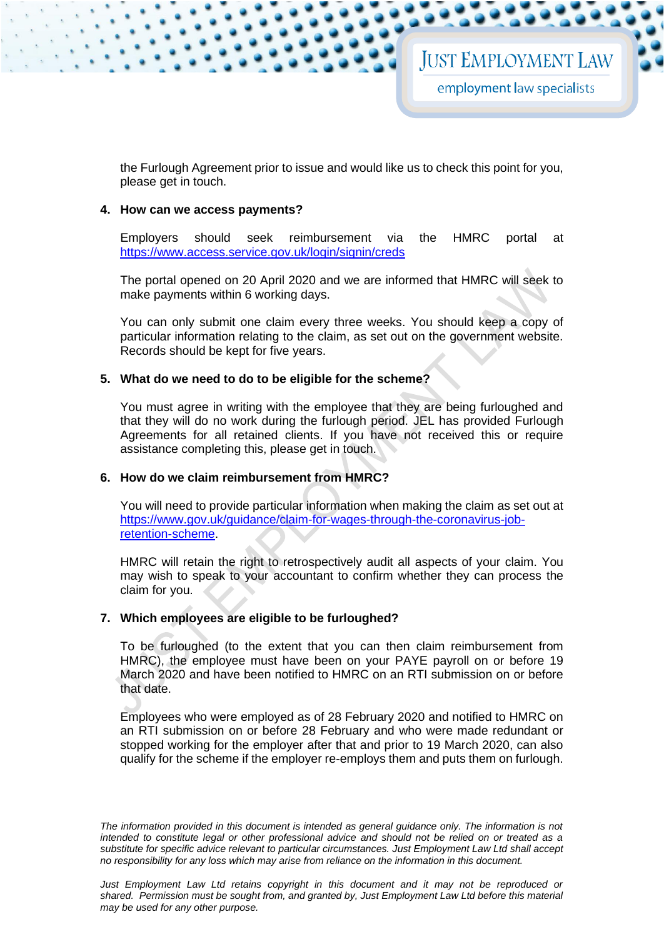the Furlough Agreement prior to issue and would like us to check this point for you, please get in touch.

#### **4. How can we access payments?**

Employers should seek reimbursement via the HMRC portal at <https://www.access.service.gov.uk/login/signin/creds>

The portal opened on 20 April 2020 and we are informed that HMRC will seek to make payments within 6 working days.

You can only submit one claim every three weeks. You should keep a copy of particular information relating to the claim, as set out on the government website. Records should be kept for five years.

#### **5. What do we need to do to be eligible for the scheme?**

You must agree in writing with the employee that they are being furloughed and that they will do no work during the furlough period. JEL has provided Furlough Agreements for all retained clients. If you have not received this or require assistance completing this, please get in touch.

#### **6. How do we claim reimbursement from HMRC?**

You will need to provide particular information when making the claim as set out at [https://www.gov.uk/guidance/claim-for-wages-through-the-coronavirus-job](https://www.gov.uk/guidance/claim-for-wages-through-the-coronavirus-job-retention-scheme)[retention-scheme.](https://www.gov.uk/guidance/claim-for-wages-through-the-coronavirus-job-retention-scheme)

HMRC will retain the right to retrospectively audit all aspects of your claim. You may wish to speak to your accountant to confirm whether they can process the claim for you.

#### **7. Which employees are eligible to be furloughed?**

To be furloughed (to the extent that you can then claim reimbursement from HMRC), the employee must have been on your PAYE payroll on or before 19 March 2020 and have been notified to HMRC on an RTI submission on or before that date.

Employees who were employed as of 28 February 2020 and notified to HMRC on an RTI submission on or before 28 February and who were made redundant or stopped working for the employer after that and prior to 19 March 2020, can also qualify for the scheme if the employer re-employs them and puts them on furlough.

*The information provided in this document is intended as general guidance only. The information is not intended to constitute legal or other professional advice and should not be relied on or treated as a substitute for specific advice relevant to particular circumstances. Just Employment Law Ltd shall accept no responsibility for any loss which may arise from reliance on the information in this document.*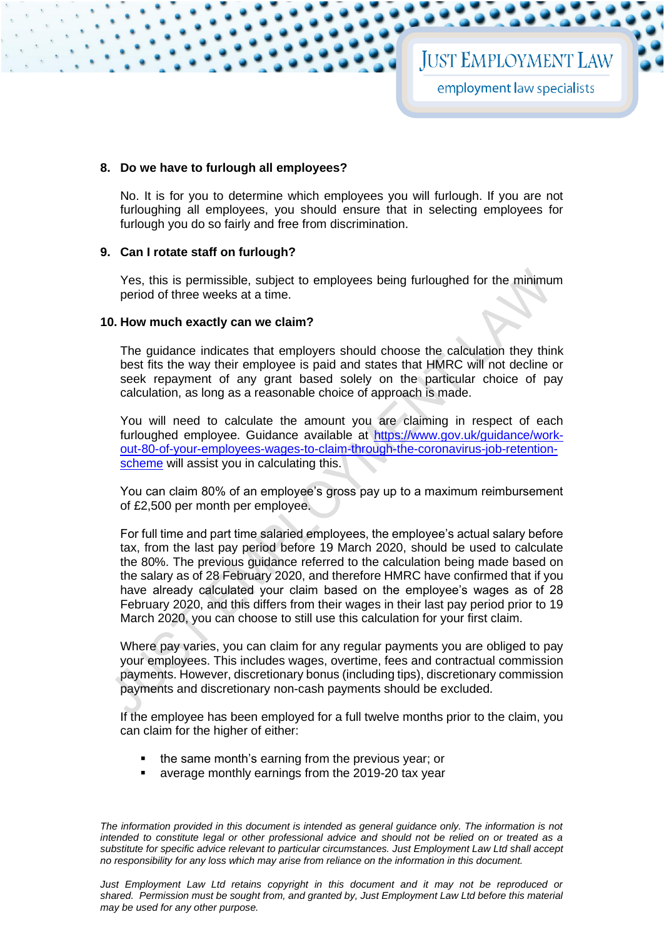#### **8. Do we have to furlough all employees?**

No. It is for you to determine which employees you will furlough. If you are not furloughing all employees, you should ensure that in selecting employees for furlough you do so fairly and free from discrimination.

#### **9. Can I rotate staff on furlough?**

Yes, this is permissible, subject to employees being furloughed for the minimum period of three weeks at a time.

#### **10. How much exactly can we claim?**

The guidance indicates that employers should choose the calculation they think best fits the way their employee is paid and states that HMRC will not decline or seek repayment of any grant based solely on the particular choice of pay calculation, as long as a reasonable choice of approach is made.

You will need to calculate the amount you are claiming in respect of each furloughed employee. Guidance available at [https://www.gov.uk/guidance/work](https://www.gov.uk/guidance/work-out-80-of-your-employees-wages-to-claim-through-the-coronavirus-job-retention-scheme)[out-80-of-your-employees-wages-to-claim-through-the-coronavirus-job-retention](https://www.gov.uk/guidance/work-out-80-of-your-employees-wages-to-claim-through-the-coronavirus-job-retention-scheme)[scheme](https://www.gov.uk/guidance/work-out-80-of-your-employees-wages-to-claim-through-the-coronavirus-job-retention-scheme) will assist you in calculating this.

You can claim 80% of an employee's gross pay up to a maximum reimbursement of £2,500 per month per employee.

For full time and part time salaried employees, the employee's actual salary before tax, from the last pay period before 19 March 2020, should be used to calculate the 80%. The previous guidance referred to the calculation being made based on the salary as of 28 February 2020, and therefore HMRC have confirmed that if you have already calculated your claim based on the employee's wages as of 28 February 2020, and this differs from their wages in their last pay period prior to 19 March 2020, you can choose to still use this calculation for your first claim.

Where pay varies, you can claim for any regular payments you are obliged to pay your employees. This includes wages, overtime, fees and contractual commission payments. However, discretionary bonus (including tips), discretionary commission payments and discretionary non-cash payments should be excluded.

If the employee has been employed for a full twelve months prior to the claim, you can claim for the higher of either:

- the same month's earning from the previous year; or
- average monthly earnings from the 2019-20 tax year

*The information provided in this document is intended as general guidance only. The information is not intended to constitute legal or other professional advice and should not be relied on or treated as a substitute for specific advice relevant to particular circumstances. Just Employment Law Ltd shall accept no responsibility for any loss which may arise from reliance on the information in this document.*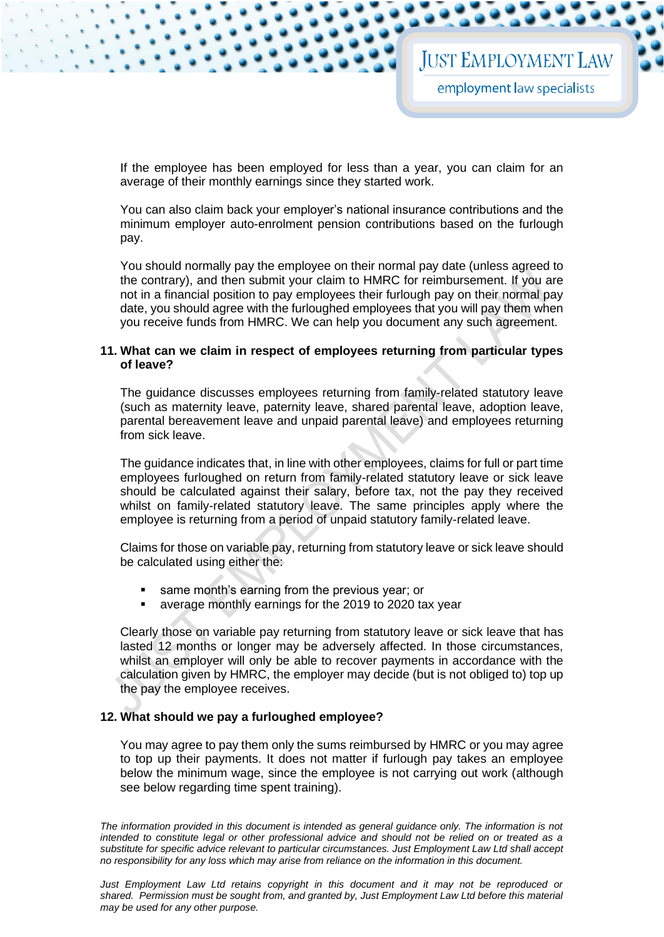If the employee has been employed for less than a year, you can claim for an average of their monthly earnings since they started work.

You can also claim back your employer's national insurance contributions and the minimum employer auto-enrolment pension contributions based on the furlough pay.

You should normally pay the employee on their normal pay date (unless agreed to the contrary), and then submit your claim to HMRC for reimbursement. If you are not in a financial position to pay employees their furlough pay on their normal pay date, you should agree with the furloughed employees that you will pay them when you receive funds from HMRC. We can help you document any such agreement.

#### **11. What can we claim in respect of employees returning from particular types of leave?**

The guidance discusses employees returning from family-related statutory leave (such as maternity leave, paternity leave, shared parental leave, adoption leave, parental bereavement leave and unpaid parental leave) and employees returning from sick leave.

The guidance indicates that, in line with other employees, claims for full or part time employees furloughed on return from family-related statutory leave or sick leave should be calculated against their salary, before tax, not the pay they received whilst on family-related statutory leave. The same principles apply where the employee is returning from a period of unpaid statutory family-related leave.

Claims for those on variable pay, returning from statutory leave or sick leave should be calculated using either the:

- same month's earning from the previous year; or
- average monthly earnings for the 2019 to 2020 tax year

Clearly those on variable pay returning from statutory leave or sick leave that has lasted 12 months or longer may be adversely affected. In those circumstances, whilst an employer will only be able to recover payments in accordance with the calculation given by HMRC, the employer may decide (but is not obliged to) top up the pay the employee receives.

#### **12. What should we pay a furloughed employee?**

You may agree to pay them only the sums reimbursed by HMRC or you may agree to top up their payments. It does not matter if furlough pay takes an employee below the minimum wage, since the employee is not carrying out work (although see below regarding time spent training).

*The information provided in this document is intended as general guidance only. The information is not intended to constitute legal or other professional advice and should not be relied on or treated as a substitute for specific advice relevant to particular circumstances. Just Employment Law Ltd shall accept no responsibility for any loss which may arise from reliance on the information in this document.*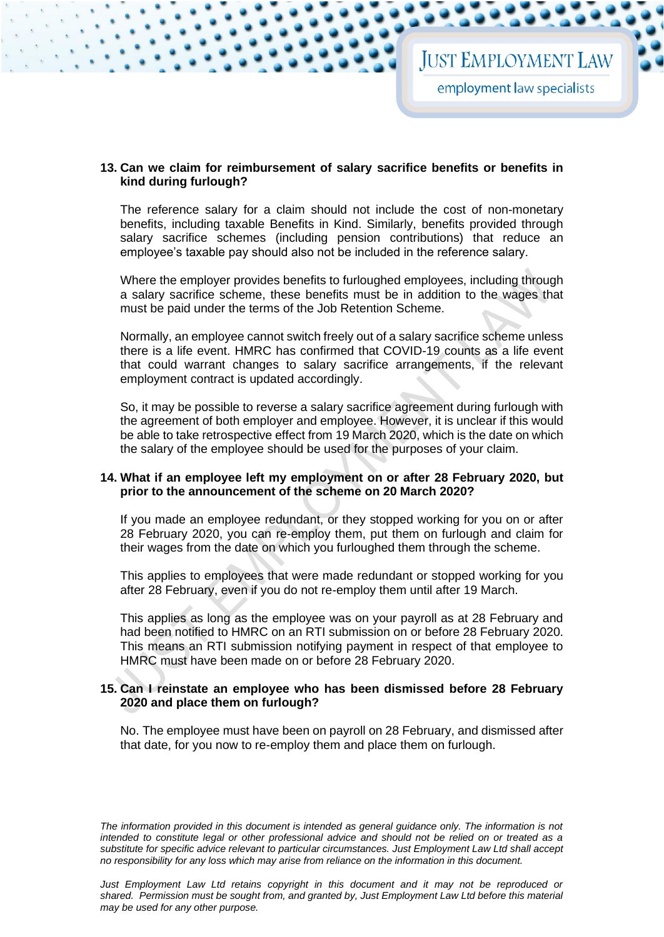#### **13. Can we claim for reimbursement of salary sacrifice benefits or benefits in kind during furlough?**

The reference salary for a claim should not include the cost of non-monetary benefits, including taxable Benefits in Kind. Similarly, benefits provided through salary sacrifice schemes (including pension contributions) that reduce an employee's taxable pay should also not be included in the reference salary.

Where the employer provides benefits to furloughed employees, including through a salary sacrifice scheme, these benefits must be in addition to the wages that must be paid under the terms of the Job Retention Scheme.

Normally, an employee cannot switch freely out of a salary sacrifice scheme unless there is a life event. HMRC has confirmed that COVID-19 counts as a life event that could warrant changes to salary sacrifice arrangements, if the relevant employment contract is updated accordingly.

So, it may be possible to reverse a salary sacrifice agreement during furlough with the agreement of both employer and employee. However, it is unclear if this would be able to take retrospective effect from 19 March 2020, which is the date on which the salary of the employee should be used for the purposes of your claim.

#### **14. What if an employee left my employment on or after 28 February 2020, but prior to the announcement of the scheme on 20 March 2020?**

If you made an employee redundant, or they stopped working for you on or after 28 February 2020, you can re-employ them, put them on furlough and claim for their wages from the date on which you furloughed them through the scheme.

This applies to employees that were made redundant or stopped working for you after 28 February, even if you do not re-employ them until after 19 March.

This applies as long as the employee was on your payroll as at 28 February and had been notified to HMRC on an RTI submission on or before 28 February 2020. This means an RTI submission notifying payment in respect of that employee to HMRC must have been made on or before 28 February 2020.

#### **15. Can I reinstate an employee who has been dismissed before 28 February 2020 and place them on furlough?**

No. The employee must have been on payroll on 28 February, and dismissed after that date, for you now to re-employ them and place them on furlough.

*The information provided in this document is intended as general guidance only. The information is not intended to constitute legal or other professional advice and should not be relied on or treated as a substitute for specific advice relevant to particular circumstances. Just Employment Law Ltd shall accept no responsibility for any loss which may arise from reliance on the information in this document.*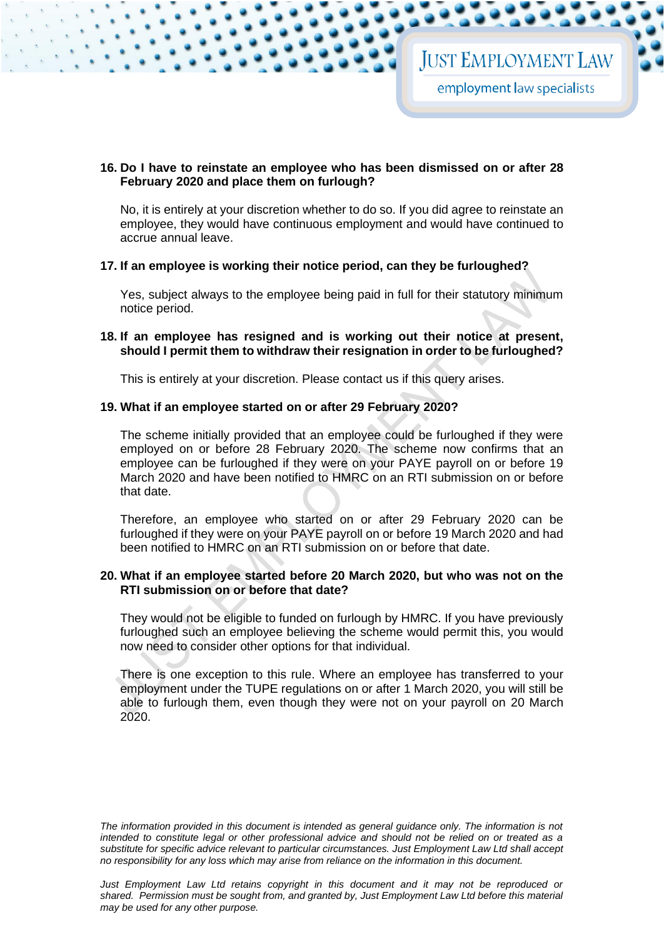#### **16. Do I have to reinstate an employee who has been dismissed on or after 28 February 2020 and place them on furlough?**

No, it is entirely at your discretion whether to do so. If you did agree to reinstate an employee, they would have continuous employment and would have continued to accrue annual leave.

#### **17. If an employee is working their notice period, can they be furloughed?**

Yes, subject always to the employee being paid in full for their statutory minimum notice period.

#### **18. If an employee has resigned and is working out their notice at present, should I permit them to withdraw their resignation in order to be furloughed?**

This is entirely at your discretion. Please contact us if this query arises.

#### **19. What if an employee started on or after 29 February 2020?**

The scheme initially provided that an employee could be furloughed if they were employed on or before 28 February 2020. The scheme now confirms that an employee can be furloughed if they were on your PAYE payroll on or before 19 March 2020 and have been notified to HMRC on an RTI submission on or before that date.

Therefore, an employee who started on or after 29 February 2020 can be furloughed if they were on your PAYE payroll on or before 19 March 2020 and had been notified to HMRC on an RTI submission on or before that date.

#### **20. What if an employee started before 20 March 2020, but who was not on the RTI submission on or before that date?**

They would not be eligible to funded on furlough by HMRC. If you have previously furloughed such an employee believing the scheme would permit this, you would now need to consider other options for that individual.

There is one exception to this rule. Where an employee has transferred to your employment under the TUPE regulations on or after 1 March 2020, you will still be able to furlough them, even though they were not on your payroll on 20 March 2020.

*The information provided in this document is intended as general guidance only. The information is not intended to constitute legal or other professional advice and should not be relied on or treated as a substitute for specific advice relevant to particular circumstances. Just Employment Law Ltd shall accept no responsibility for any loss which may arise from reliance on the information in this document.*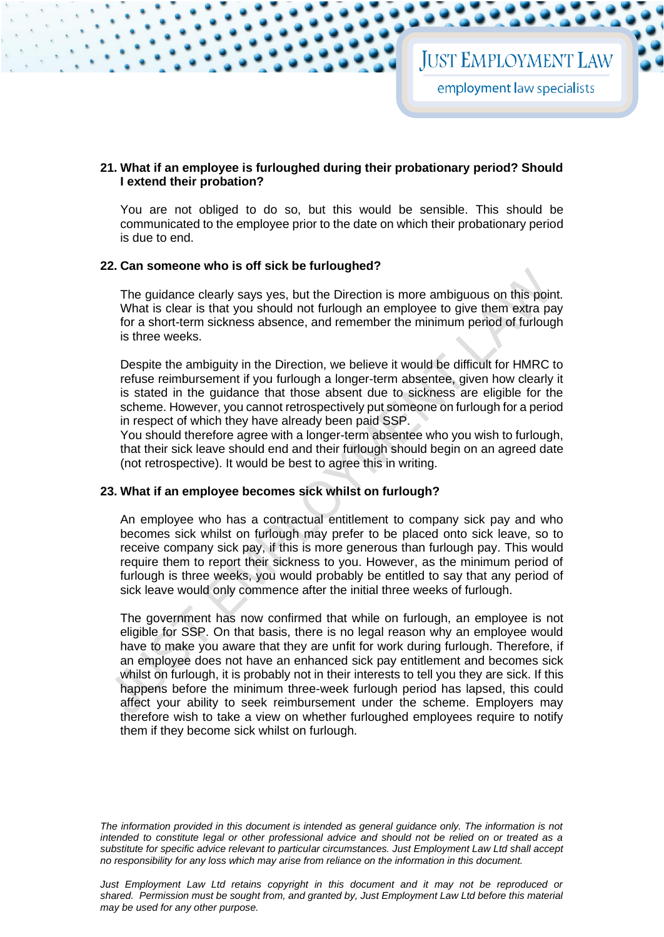#### **21. What if an employee is furloughed during their probationary period? Should I extend their probation?**

You are not obliged to do so, but this would be sensible. This should be communicated to the employee prior to the date on which their probationary period is due to end.

#### **22. Can someone who is off sick be furloughed?**

The guidance clearly says yes, but the Direction is more ambiguous on this point. What is clear is that you should not furlough an employee to give them extra pay for a short-term sickness absence, and remember the minimum period of furlough is three weeks.

Despite the ambiguity in the Direction, we believe it would be difficult for HMRC to refuse reimbursement if you furlough a longer-term absentee, given how clearly it is stated in the guidance that those absent due to sickness are eligible for the scheme. However, you cannot retrospectively put someone on furlough for a period in respect of which they have already been paid SSP.

You should therefore agree with a longer-term absentee who you wish to furlough, that their sick leave should end and their furlough should begin on an agreed date (not retrospective). It would be best to agree this in writing.

#### **23. What if an employee becomes sick whilst on furlough?**

An employee who has a contractual entitlement to company sick pay and who becomes sick whilst on furlough may prefer to be placed onto sick leave, so to receive company sick pay, if this is more generous than furlough pay. This would require them to report their sickness to you. However, as the minimum period of furlough is three weeks, you would probably be entitled to say that any period of sick leave would only commence after the initial three weeks of furlough.

The government has now confirmed that while on furlough, an employee is not eligible for SSP. On that basis, there is no legal reason why an employee would have to make you aware that they are unfit for work during furlough. Therefore, if an employee does not have an enhanced sick pay entitlement and becomes sick whilst on furlough, it is probably not in their interests to tell you they are sick. If this happens before the minimum three-week furlough period has lapsed, this could affect your ability to seek reimbursement under the scheme. Employers may therefore wish to take a view on whether furloughed employees require to notify them if they become sick whilst on furlough.

*The information provided in this document is intended as general guidance only. The information is not intended to constitute legal or other professional advice and should not be relied on or treated as a substitute for specific advice relevant to particular circumstances. Just Employment Law Ltd shall accept no responsibility for any loss which may arise from reliance on the information in this document.*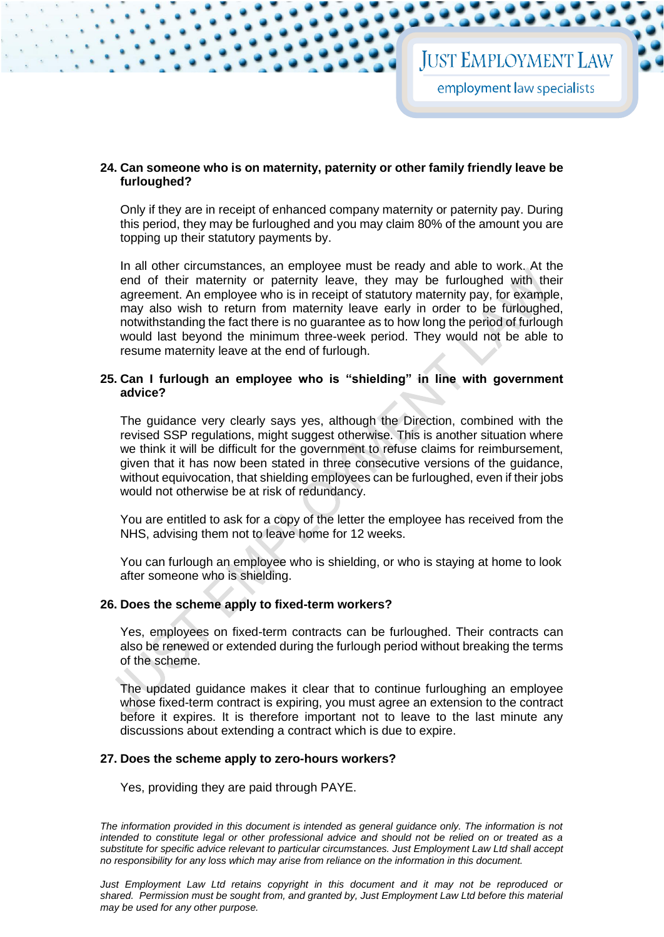#### **24. Can someone who is on maternity, paternity or other family friendly leave be furloughed?**

Only if they are in receipt of enhanced company maternity or paternity pay. During this period, they may be furloughed and you may claim 80% of the amount you are topping up their statutory payments by.

In all other circumstances, an employee must be ready and able to work. At the end of their maternity or paternity leave, they may be furloughed with their agreement. An employee who is in receipt of statutory maternity pay, for example, may also wish to return from maternity leave early in order to be furloughed, notwithstanding the fact there is no guarantee as to how long the period of furlough would last beyond the minimum three-week period. They would not be able to resume maternity leave at the end of furlough.

#### **25. Can I furlough an employee who is "shielding" in line with government advice?**

The guidance very clearly says yes, although the Direction, combined with the revised SSP regulations, might suggest otherwise. This is another situation where we think it will be difficult for the government to refuse claims for reimbursement, given that it has now been stated in three consecutive versions of the guidance, without equivocation, that shielding employees can be furloughed, even if their jobs would not otherwise be at risk of redundancy.

You are entitled to ask for a copy of the letter the employee has received from the NHS, advising them not to leave home for 12 weeks.

You can furlough an employee who is shielding, or who is staying at home to look after someone who is shielding.

#### **26. Does the scheme apply to fixed-term workers?**

Yes, employees on fixed-term contracts can be furloughed. Their contracts can also be renewed or extended during the furlough period without breaking the terms of the scheme.

The updated guidance makes it clear that to continue furloughing an employee whose fixed-term contract is expiring, you must agree an extension to the contract before it expires. It is therefore important not to leave to the last minute any discussions about extending a contract which is due to expire.

#### **27. Does the scheme apply to zero-hours workers?**

Yes, providing they are paid through PAYE.

*The information provided in this document is intended as general guidance only. The information is not intended to constitute legal or other professional advice and should not be relied on or treated as a substitute for specific advice relevant to particular circumstances. Just Employment Law Ltd shall accept no responsibility for any loss which may arise from reliance on the information in this document.*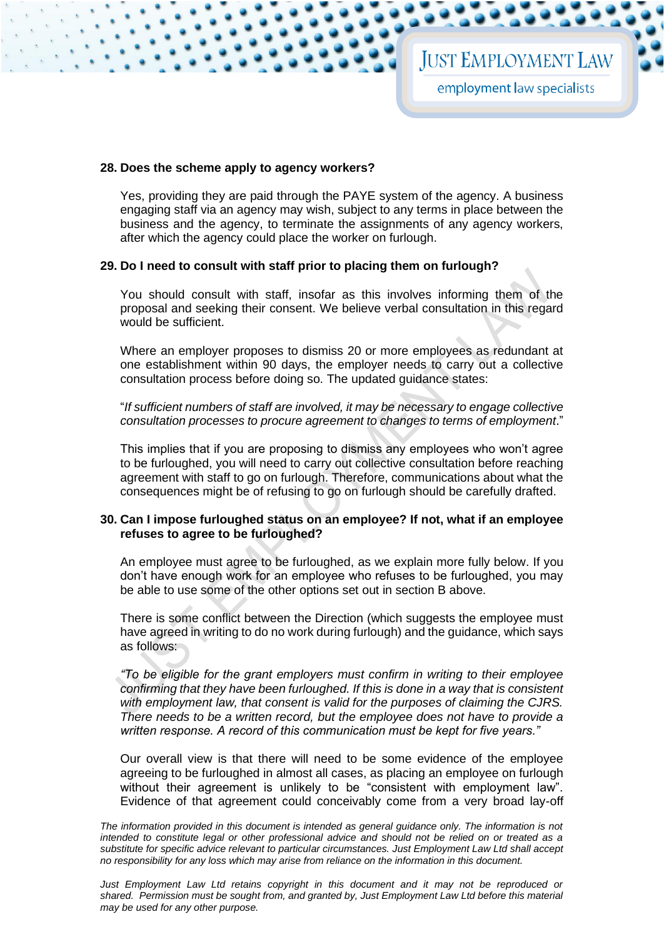#### **28. Does the scheme apply to agency workers?**

Yes, providing they are paid through the PAYE system of the agency. A business engaging staff via an agency may wish, subject to any terms in place between the business and the agency, to terminate the assignments of any agency workers, after which the agency could place the worker on furlough.

#### **29. Do I need to consult with staff prior to placing them on furlough?**

You should consult with staff, insofar as this involves informing them of the proposal and seeking their consent. We believe verbal consultation in this regard would be sufficient.

Where an employer proposes to dismiss 20 or more employees as redundant at one establishment within 90 days, the employer needs to carry out a collective consultation process before doing so. The updated guidance states:

"*If sufficient numbers of staff are involved, it may be necessary to engage collective consultation processes to procure agreement to changes to terms of employment*."

This implies that if you are proposing to dismiss any employees who won't agree to be furloughed, you will need to carry out collective consultation before reaching agreement with staff to go on furlough. Therefore, communications about what the consequences might be of refusing to go on furlough should be carefully drafted.

#### **30. Can I impose furloughed status on an employee? If not, what if an employee refuses to agree to be furloughed?**

An employee must agree to be furloughed, as we explain more fully below. If you don't have enough work for an employee who refuses to be furloughed, you may be able to use some of the other options set out in section B above.

There is some conflict between the Direction (which suggests the employee must have agreed in writing to do no work during furlough) and the guidance, which says as follows:

*"To be eligible for the grant employers must confirm in writing to their employee confirming that they have been furloughed. If this is done in a way that is consistent with employment law, that consent is valid for the purposes of claiming the CJRS. There needs to be a written record, but the employee does not have to provide a written response. A record of this communication must be kept for five years."*

Our overall view is that there will need to be some evidence of the employee agreeing to be furloughed in almost all cases, as placing an employee on furlough without their agreement is unlikely to be "consistent with employment law". Evidence of that agreement could conceivably come from a very broad lay-off

The information provided in this document is intended as general guidance only. The information is not *intended to constitute legal or other professional advice and should not be relied on or treated as a substitute for specific advice relevant to particular circumstances. Just Employment Law Ltd shall accept no responsibility for any loss which may arise from reliance on the information in this document.*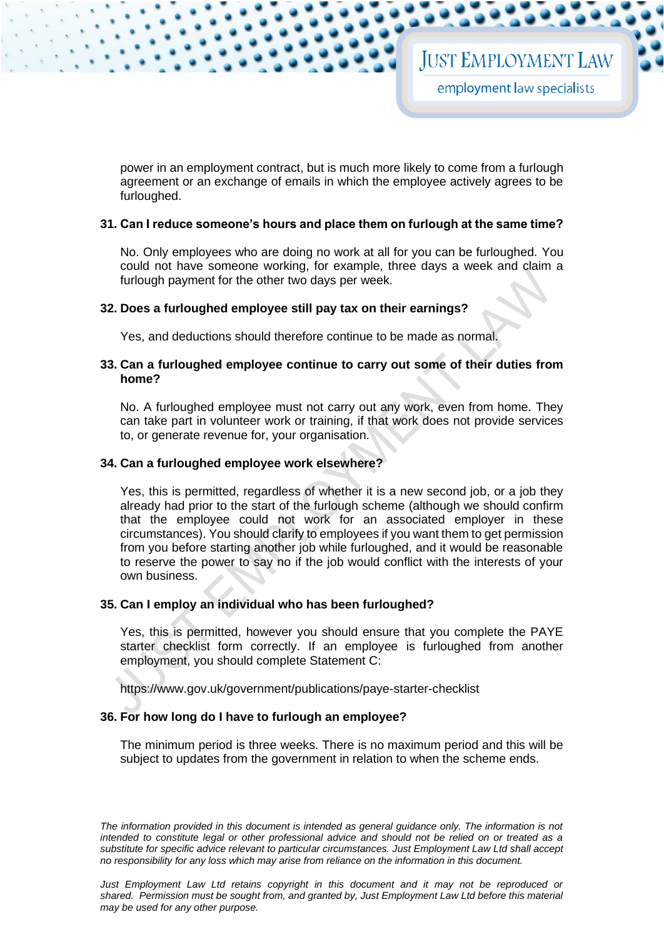power in an employment contract, but is much more likely to come from a furlough agreement or an exchange of emails in which the employee actively agrees to be furloughed.

#### **31. Can I reduce someone's hours and place them on furlough at the same time?**

No. Only employees who are doing no work at all for you can be furloughed. You could not have someone working, for example, three days a week and claim a furlough payment for the other two days per week.

#### **32. Does a furloughed employee still pay tax on their earnings?**

Yes, and deductions should therefore continue to be made as normal.

#### **33. Can a furloughed employee continue to carry out some of their duties from home?**

No. A furloughed employee must not carry out any work, even from home. They can take part in volunteer work or training, if that work does not provide services to, or generate revenue for, your organisation.

#### **34. Can a furloughed employee work elsewhere?**

Yes, this is permitted, regardless of whether it is a new second job, or a job they already had prior to the start of the furlough scheme (although we should confirm that the employee could not work for an associated employer in these circumstances). You should clarify to employees if you want them to get permission from you before starting another job while furloughed, and it would be reasonable to reserve the power to say no if the job would conflict with the interests of your own business.

#### **35. Can I employ an individual who has been furloughed?**

Yes, this is permitted, however you should ensure that you complete the PAYE starter checklist form correctly. If an employee is furloughed from another employment, you should complete Statement C:

<https://www.gov.uk/government/publications/paye-starter-checklist>

#### **36. For how long do I have to furlough an employee?**

The minimum period is three weeks. There is no maximum period and this will be subject to updates from the government in relation to when the scheme ends.

*The information provided in this document is intended as general guidance only. The information is not intended to constitute legal or other professional advice and should not be relied on or treated as a substitute for specific advice relevant to particular circumstances. Just Employment Law Ltd shall accept no responsibility for any loss which may arise from reliance on the information in this document.*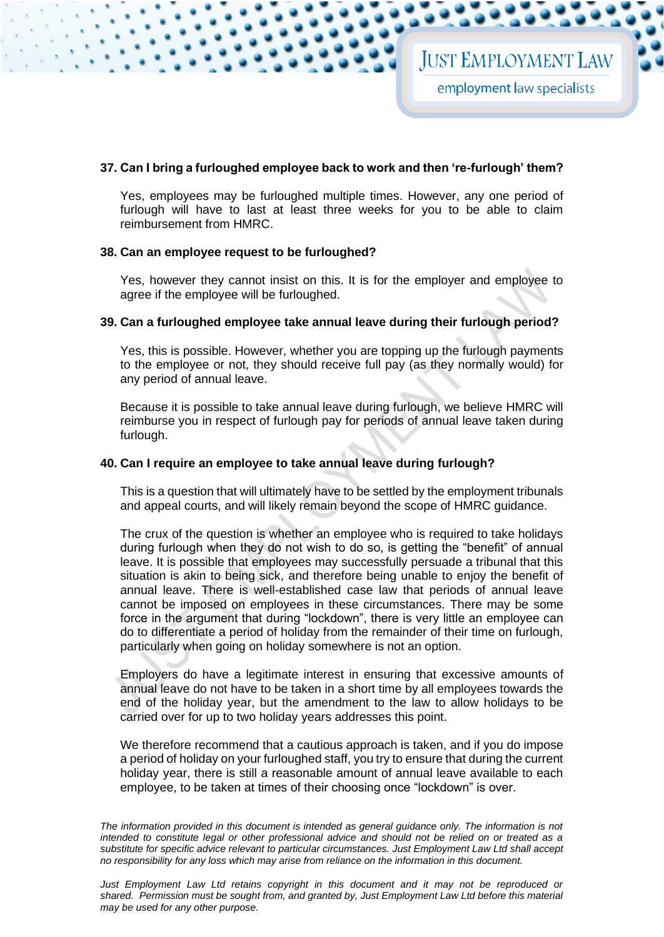#### **37. Can I bring a furloughed employee back to work and then 're-furlough' them?**

Yes, employees may be furloughed multiple times. However, any one period of furlough will have to last at least three weeks for you to be able to claim reimbursement from HMRC.

#### **38. Can an employee request to be furloughed?**

Yes, however they cannot insist on this. It is for the employer and employee to agree if the employee will be furloughed.

#### **39. Can a furloughed employee take annual leave during their furlough period?**

Yes, this is possible. However, whether you are topping up the furlough payments to the employee or not, they should receive full pay (as they normally would) for any period of annual leave.

Because it is possible to take annual leave during furlough, we believe HMRC will reimburse you in respect of furlough pay for periods of annual leave taken during furlough.

#### **40. Can I require an employee to take annual leave during furlough?**

This is a question that will ultimately have to be settled by the employment tribunals and appeal courts, and will likely remain beyond the scope of HMRC guidance.

The crux of the question is whether an employee who is required to take holidays during furlough when they do not wish to do so, is getting the "benefit" of annual leave. It is possible that employees may successfully persuade a tribunal that this situation is akin to being sick, and therefore being unable to enjoy the benefit of annual leave. There is well-established case law that periods of annual leave cannot be imposed on employees in these circumstances. There may be some force in the argument that during "lockdown", there is very little an employee can do to differentiate a period of holiday from the remainder of their time on furlough, particularly when going on holiday somewhere is not an option.

Employers do have a legitimate interest in ensuring that excessive amounts of annual leave do not have to be taken in a short time by all employees towards the end of the holiday year, but the amendment to the law to allow holidays to be carried over for up to two holiday years addresses this point.

We therefore recommend that a cautious approach is taken, and if you do impose a period of holiday on your furloughed staff, you try to ensure that during the current holiday year, there is still a reasonable amount of annual leave available to each employee, to be taken at times of their choosing once "lockdown" is over.

The information provided in this document is intended as general guidance only. The information is not *intended to constitute legal or other professional advice and should not be relied on or treated as a substitute for specific advice relevant to particular circumstances. Just Employment Law Ltd shall accept no responsibility for any loss which may arise from reliance on the information in this document.*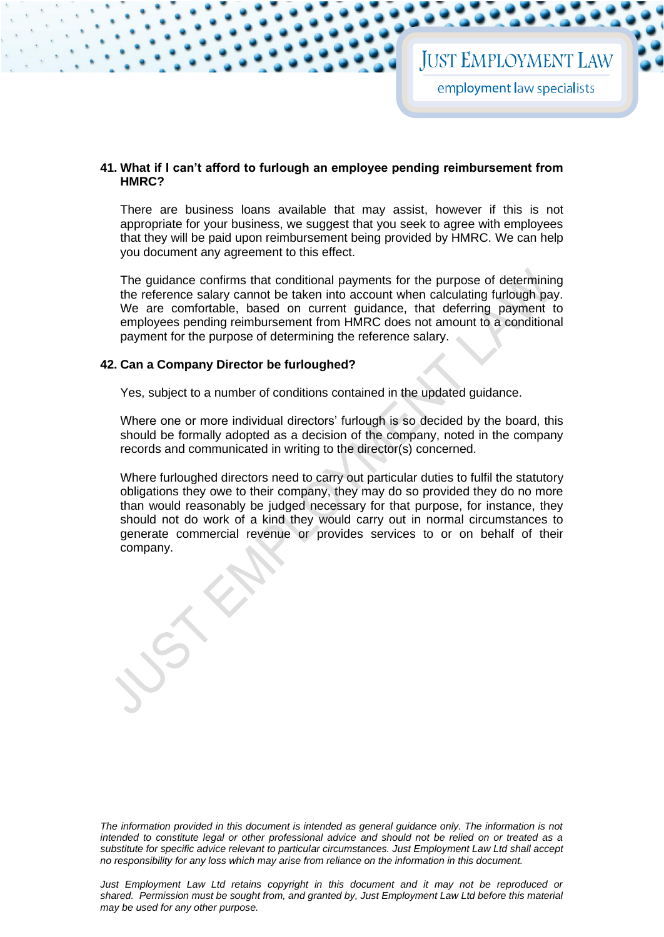#### **41. What if I can't afford to furlough an employee pending reimbursement from HMRC?**

There are business loans available that may assist, however if this is not appropriate for your business, we suggest that you seek to agree with employees that they will be paid upon reimbursement being provided by HMRC. We can help you document any agreement to this effect.

The guidance confirms that conditional payments for the purpose of determining the reference salary cannot be taken into account when calculating furlough pay. We are comfortable, based on current guidance, that deferring payment to employees pending reimbursement from HMRC does not amount to a conditional payment for the purpose of determining the reference salary.

#### **42. Can a Company Director be furloughed?**

Yes, subject to a number of conditions contained in the updated guidance.

Where one or more individual directors' furlough is so decided by the board, this should be formally adopted as a decision of the company, noted in the company records and communicated in writing to the director(s) concerned.

Where furloughed directors need to carry out particular duties to fulfil the statutory obligations they owe to their company, they may do so provided they do no more than would reasonably be judged necessary for that purpose, for instance, they should not do work of a kind they would carry out in normal circumstances to generate commercial revenue or provides services to or on behalf of their company.

*The information provided in this document is intended as general guidance only. The information is not intended to constitute legal or other professional advice and should not be relied on or treated as a substitute for specific advice relevant to particular circumstances. Just Employment Law Ltd shall accept no responsibility for any loss which may arise from reliance on the information in this document.*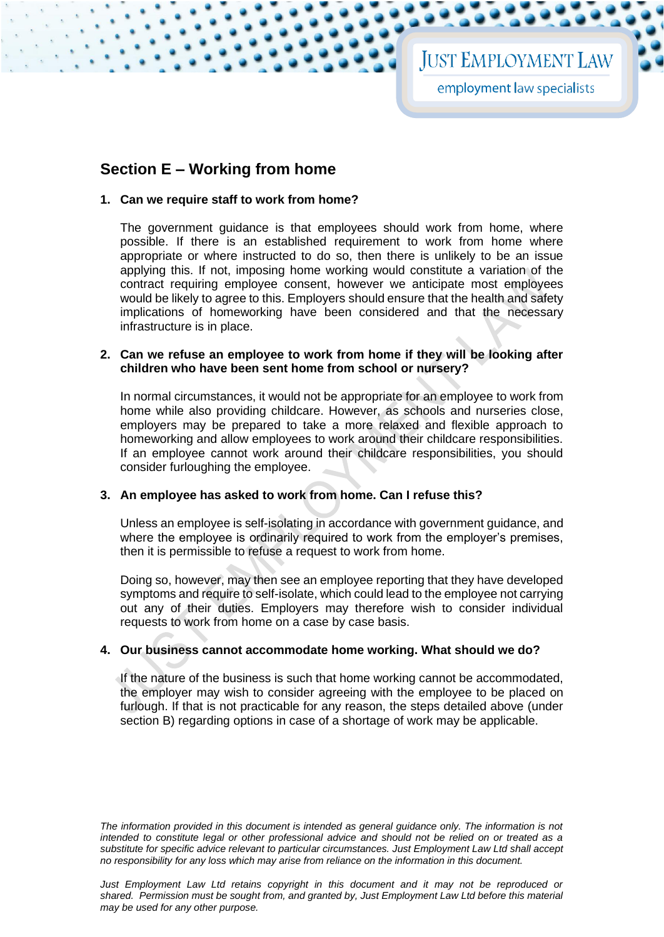# **JUST EMPLOYMENT LAW**

employment law specialists

## **Section E – Working from home**

#### **1. Can we require staff to work from home?**

The government guidance is that employees should work from home, where possible. If there is an established requirement to work from home where appropriate or where instructed to do so, then there is unlikely to be an issue applying this. If not, imposing home working would constitute a variation of the contract requiring employee consent, however we anticipate most employees would be likely to agree to this. Employers should ensure that the health and safety implications of homeworking have been considered and that the necessary infrastructure is in place.

#### **2. Can we refuse an employee to work from home if they will be looking after children who have been sent home from school or nursery?**

In normal circumstances, it would not be appropriate for an employee to work from home while also providing childcare. However, as schools and nurseries close, employers may be prepared to take a more relaxed and flexible approach to homeworking and allow employees to work around their childcare responsibilities. If an employee cannot work around their childcare responsibilities, you should consider furloughing the employee.

#### **3. An employee has asked to work from home. Can I refuse this?**

Unless an employee is self-isolating in accordance with government guidance, and where the employee is ordinarily required to work from the employer's premises, then it is permissible to refuse a request to work from home.

Doing so, however, may then see an employee reporting that they have developed symptoms and require to self-isolate, which could lead to the employee not carrying out any of their duties. Employers may therefore wish to consider individual requests to work from home on a case by case basis.

#### **4. Our business cannot accommodate home working. What should we do?**

If the nature of the business is such that home working cannot be accommodated, the employer may wish to consider agreeing with the employee to be placed on furlough. If that is not practicable for any reason, the steps detailed above (under section B) regarding options in case of a shortage of work may be applicable.

*The information provided in this document is intended as general guidance only. The information is not intended to constitute legal or other professional advice and should not be relied on or treated as a substitute for specific advice relevant to particular circumstances. Just Employment Law Ltd shall accept no responsibility for any loss which may arise from reliance on the information in this document.*